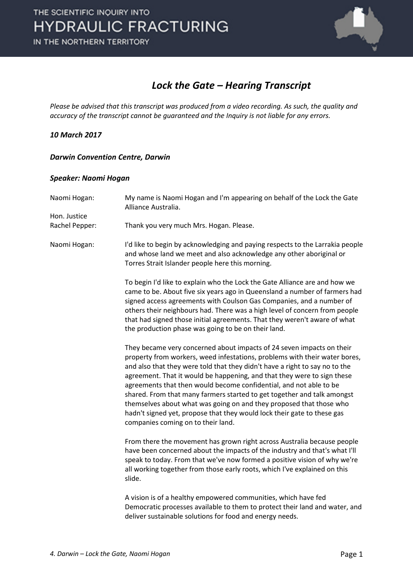

### *Lock the Gate – Hearing Transcript*

*Please be advised that this transcript was produced from a video recording. As such, the quality and accuracy of the transcript cannot be guaranteed and the Inquiry is not liable for any errors.*

#### *10 March 2017*

#### *Darwin Convention Centre, Darwin*

#### *Speaker: Naomi Hogan*

| Naomi Hogan:<br>Hon. Justice<br>Rachel Pepper: | My name is Naomi Hogan and I'm appearing on behalf of the Lock the Gate<br>Alliance Australia.<br>Thank you very much Mrs. Hogan. Please.                                                                                                                                                                                                                                                                                                                                                                                                                                                                                                              |
|------------------------------------------------|--------------------------------------------------------------------------------------------------------------------------------------------------------------------------------------------------------------------------------------------------------------------------------------------------------------------------------------------------------------------------------------------------------------------------------------------------------------------------------------------------------------------------------------------------------------------------------------------------------------------------------------------------------|
| Naomi Hogan:                                   | I'd like to begin by acknowledging and paying respects to the Larrakia people<br>and whose land we meet and also acknowledge any other aboriginal or<br>Torres Strait Islander people here this morning.                                                                                                                                                                                                                                                                                                                                                                                                                                               |
|                                                | To begin I'd like to explain who the Lock the Gate Alliance are and how we<br>came to be. About five six years ago in Queensland a number of farmers had<br>signed access agreements with Coulson Gas Companies, and a number of<br>others their neighbours had. There was a high level of concern from people<br>that had signed those initial agreements. That they weren't aware of what<br>the production phase was going to be on their land.                                                                                                                                                                                                     |
|                                                | They became very concerned about impacts of 24 seven impacts on their<br>property from workers, weed infestations, problems with their water bores,<br>and also that they were told that they didn't have a right to say no to the<br>agreement. That it would be happening, and that they were to sign these<br>agreements that then would become confidential, and not able to be<br>shared. From that many farmers started to get together and talk amongst<br>themselves about what was going on and they proposed that those who<br>hadn't signed yet, propose that they would lock their gate to these gas<br>companies coming on to their land. |
|                                                | From there the movement has grown right across Australia because people<br>have been concerned about the impacts of the industry and that's what I'll<br>speak to today. From that we've now formed a positive vision of why we're<br>all working together from those early roots, which I've explained on this<br>slide.                                                                                                                                                                                                                                                                                                                              |
|                                                | A vision is of a healthy empowered communities, which have fed<br>Democratic processes available to them to protect their land and water, and<br>deliver sustainable solutions for food and energy needs.                                                                                                                                                                                                                                                                                                                                                                                                                                              |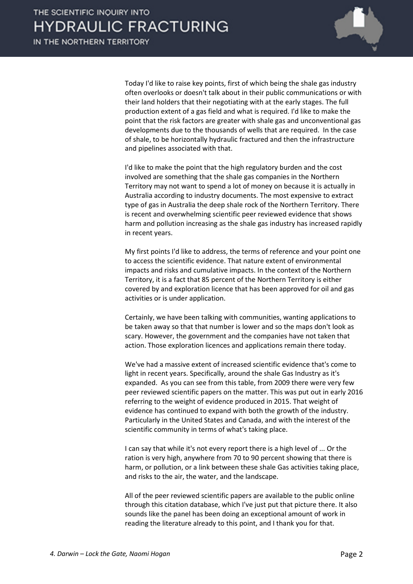

Today I'd like to raise key points, first of which being the shale gas industry often overlooks or doesn't talk about in their public communications or with their land holders that their negotiating with at the early stages. The full production extent of a gas field and what is required. I'd like to make the point that the risk factors are greater with shale gas and unconventional gas developments due to the thousands of wells that are required. In the case of shale, to be horizontally hydraulic fractured and then the infrastructure and pipelines associated with that.

I'd like to make the point that the high regulatory burden and the cost involved are something that the shale gas companies in the Northern Territory may not want to spend a lot of money on because it is actually in Australia according to industry documents. The most expensive to extract type of gas in Australia the deep shale rock of the Northern Territory. There is recent and overwhelming scientific peer reviewed evidence that shows harm and pollution increasing as the shale gas industry has increased rapidly in recent years.

My first points I'd like to address, the terms of reference and your point one to access the scientific evidence. That nature extent of environmental impacts and risks and cumulative impacts. In the context of the Northern Territory, it is a fact that 85 percent of the Northern Territory is either covered by and exploration licence that has been approved for oil and gas activities or is under application.

Certainly, we have been talking with communities, wanting applications to be taken away so that that number is lower and so the maps don't look as scary. However, the government and the companies have not taken that action. Those exploration licences and applications remain there today.

We've had a massive extent of increased scientific evidence that's come to light in recent years. Specifically, around the shale Gas Industry as it's expanded. As you can see from this table, from 2009 there were very few peer reviewed scientific papers on the matter. This was put out in early 2016 referring to the weight of evidence produced in 2015. That weight of evidence has continued to expand with both the growth of the industry. Particularly in the United States and Canada, and with the interest of the scientific community in terms of what's taking place.

I can say that while it's not every report there is a high level of ... Or the ration is very high, anywhere from 70 to 90 percent showing that there is harm, or pollution, or a link between these shale Gas activities taking place, and risks to the air, the water, and the landscape.

All of the peer reviewed scientific papers are available to the public online through this citation database, which I've just put that picture there. It also sounds like the panel has been doing an exceptional amount of work in reading the literature already to this point, and I thank you for that.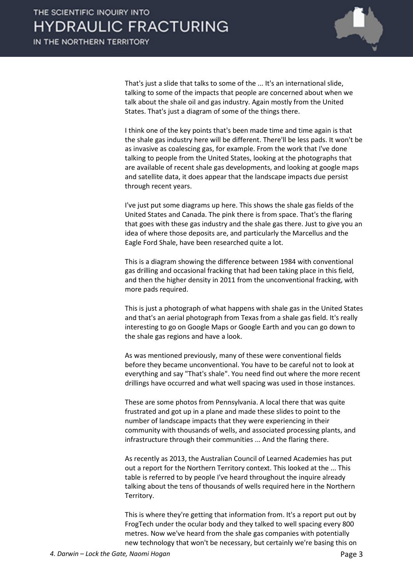

That's just a slide that talks to some of the ... It's an international slide, talking to some of the impacts that people are concerned about when we talk about the shale oil and gas industry. Again mostly from the United States. That's just a diagram of some of the things there.

I think one of the key points that's been made time and time again is that the shale gas industry here will be different. There'll be less pads. It won't be as invasive as coalescing gas, for example. From the work that I've done talking to people from the United States, looking at the photographs that are available of recent shale gas developments, and looking at google maps and satellite data, it does appear that the landscape impacts due persist through recent years.

I've just put some diagrams up here. This shows the shale gas fields of the United States and Canada. The pink there is from space. That's the flaring that goes with these gas industry and the shale gas there. Just to give you an idea of where those deposits are, and particularly the Marcellus and the Eagle Ford Shale, have been researched quite a lot.

This is a diagram showing the difference between 1984 with conventional gas drilling and occasional fracking that had been taking place in this field, and then the higher density in 2011 from the unconventional fracking, with more pads required.

This is just a photograph of what happens with shale gas in the United States and that's an aerial photograph from Texas from a shale gas field. It's really interesting to go on Google Maps or Google Earth and you can go down to the shale gas regions and have a look.

As was mentioned previously, many of these were conventional fields before they became unconventional. You have to be careful not to look at everything and say "That's shale". You need find out where the more recent drillings have occurred and what well spacing was used in those instances.

These are some photos from Pennsylvania. A local there that was quite frustrated and got up in a plane and made these slides to point to the number of landscape impacts that they were experiencing in their community with thousands of wells, and associated processing plants, and infrastructure through their communities ... And the flaring there.

As recently as 2013, the Australian Council of Learned Academies has put out a report for the Northern Territory context. This looked at the ... This table is referred to by people I've heard throughout the inquire already talking about the tens of thousands of wells required here in the Northern Territory.

This is where they're getting that information from. It's a report put out by FrogTech under the ocular body and they talked to well spacing every 800 metres. Now we've heard from the shale gas companies with potentially new technology that won't be necessary, but certainly we're basing this on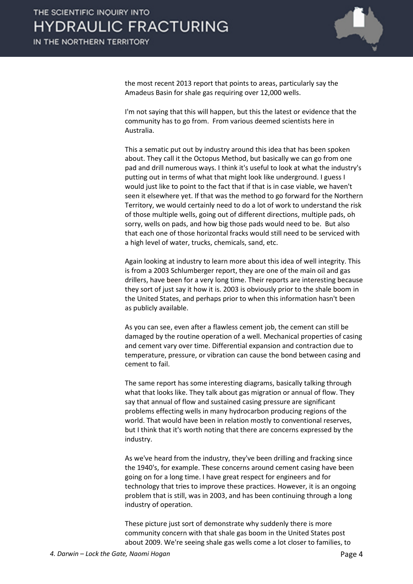

the most recent 2013 report that points to areas, particularly say the Amadeus Basin for shale gas requiring over 12,000 wells.

I'm not saying that this will happen, but this the latest or evidence that the community has to go from. From various deemed scientists here in Australia.

This a sematic put out by industry around this idea that has been spoken about. They call it the Octopus Method, but basically we can go from one pad and drill numerous ways. I think it's useful to look at what the industry's putting out in terms of what that might look like underground. I guess I would just like to point to the fact that if that is in case viable, we haven't seen it elsewhere yet. If that was the method to go forward for the Northern Territory, we would certainly need to do a lot of work to understand the risk of those multiple wells, going out of different directions, multiple pads, oh sorry, wells on pads, and how big those pads would need to be. But also that each one of those horizontal fracks would still need to be serviced with a high level of water, trucks, chemicals, sand, etc.

Again looking at industry to learn more about this idea of well integrity. This is from a 2003 Schlumberger report, they are one of the main oil and gas drillers, have been for a very long time. Their reports are interesting because they sort of just say it how it is. 2003 is obviously prior to the shale boom in the United States, and perhaps prior to when this information hasn't been as publicly available.

As you can see, even after a flawless cement job, the cement can still be damaged by the routine operation of a well. Mechanical properties of casing and cement vary over time. Differential expansion and contraction due to temperature, pressure, or vibration can cause the bond between casing and cement to fail.

The same report has some interesting diagrams, basically talking through what that looks like. They talk about gas migration or annual of flow. They say that annual of flow and sustained casing pressure are significant problems effecting wells in many hydrocarbon producing regions of the world. That would have been in relation mostly to conventional reserves, but I think that it's worth noting that there are concerns expressed by the industry.

As we've heard from the industry, they've been drilling and fracking since the 1940's, for example. These concerns around cement casing have been going on for a long time. I have great respect for engineers and for technology that tries to improve these practices. However, it is an ongoing problem that is still, was in 2003, and has been continuing through a long industry of operation.

These picture just sort of demonstrate why suddenly there is more community concern with that shale gas boom in the United States post about 2009. We're seeing shale gas wells come a lot closer to families, to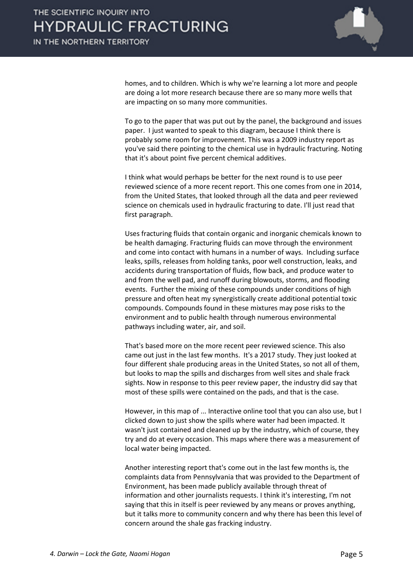

homes, and to children. Which is why we're learning a lot more and people are doing a lot more research because there are so many more wells that are impacting on so many more communities.

To go to the paper that was put out by the panel, the background and issues paper. I just wanted to speak to this diagram, because I think there is probably some room for improvement. This was a 2009 industry report as you've said there pointing to the chemical use in hydraulic fracturing. Noting that it's about point five percent chemical additives.

I think what would perhaps be better for the next round is to use peer reviewed science of a more recent report. This one comes from one in 2014, from the United States, that looked through all the data and peer reviewed science on chemicals used in hydraulic fracturing to date. I'll just read that first paragraph.

Uses fracturing fluids that contain organic and inorganic chemicals known to be health damaging. Fracturing fluids can move through the environment and come into contact with humans in a number of ways. Including surface leaks, spills, releases from holding tanks, poor well construction, leaks, and accidents during transportation of fluids, flow back, and produce water to and from the well pad, and runoff during blowouts, storms, and flooding events. Further the mixing of these compounds under conditions of high pressure and often heat my synergistically create additional potential toxic compounds. Compounds found in these mixtures may pose risks to the environment and to public health through numerous environmental pathways including water, air, and soil.

That's based more on the more recent peer reviewed science. This also came out just in the last few months. It's a 2017 study. They just looked at four different shale producing areas in the United States, so not all of them, but looks to map the spills and discharges from well sites and shale frack sights. Now in response to this peer review paper, the industry did say that most of these spills were contained on the pads, and that is the case.

However, in this map of ... Interactive online tool that you can also use, but I clicked down to just show the spills where water had been impacted. It wasn't just contained and cleaned up by the industry, which of course, they try and do at every occasion. This maps where there was a measurement of local water being impacted.

Another interesting report that's come out in the last few months is, the complaints data from Pennsylvania that was provided to the Department of Environment, has been made publicly available through threat of information and other journalists requests. I think it's interesting, I'm not saying that this in itself is peer reviewed by any means or proves anything, but it talks more to community concern and why there has been this level of concern around the shale gas fracking industry.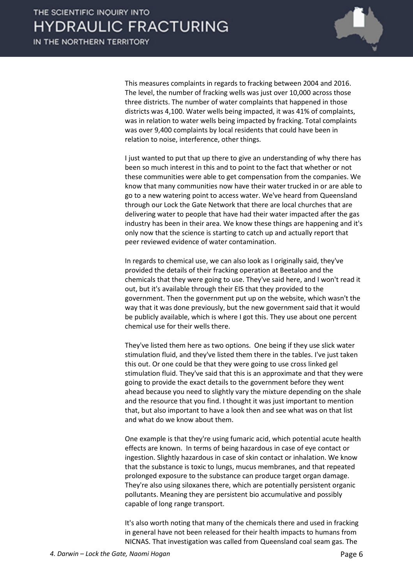

This measures complaints in regards to fracking between 2004 and 2016. The level, the number of fracking wells was just over 10,000 across those three districts. The number of water complaints that happened in those districts was 4,100. Water wells being impacted, it was 41% of complaints, was in relation to water wells being impacted by fracking. Total complaints was over 9,400 complaints by local residents that could have been in relation to noise, interference, other things.

I just wanted to put that up there to give an understanding of why there has been so much interest in this and to point to the fact that whether or not these communities were able to get compensation from the companies. We know that many communities now have their water trucked in or are able to go to a new watering point to access water. We've heard from Queensland through our Lock the Gate Network that there are local churches that are delivering water to people that have had their water impacted after the gas industry has been in their area. We know these things are happening and it's only now that the science is starting to catch up and actually report that peer reviewed evidence of water contamination.

In regards to chemical use, we can also look as I originally said, they've provided the details of their fracking operation at Beetaloo and the chemicals that they were going to use. They've said here, and I won't read it out, but it's available through their EIS that they provided to the government. Then the government put up on the website, which wasn't the way that it was done previously, but the new government said that it would be publicly available, which is where I got this. They use about one percent chemical use for their wells there.

They've listed them here as two options. One being if they use slick water stimulation fluid, and they've listed them there in the tables. I've just taken this out. Or one could be that they were going to use cross linked gel stimulation fluid. They've said that this is an approximate and that they were going to provide the exact details to the government before they went ahead because you need to slightly vary the mixture depending on the shale and the resource that you find. I thought it was just important to mention that, but also important to have a look then and see what was on that list and what do we know about them.

One example is that they're using fumaric acid, which potential acute health effects are known. In terms of being hazardous in case of eye contact or ingestion. Slightly hazardous in case of skin contact or inhalation. We know that the substance is toxic to lungs, mucus membranes, and that repeated prolonged exposure to the substance can produce target organ damage. They're also using siloxanes there, which are potentially persistent organic pollutants. Meaning they are persistent bio accumulative and possibly capable of long range transport.

It's also worth noting that many of the chemicals there and used in fracking in general have not been released for their health impacts to humans from NICNAS. That investigation was called from Queensland coal seam gas. The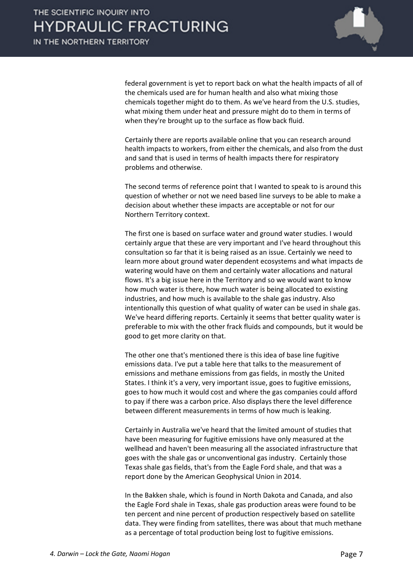

federal government is yet to report back on what the health impacts of all of the chemicals used are for human health and also what mixing those chemicals together might do to them. As we've heard from the U.S. studies, what mixing them under heat and pressure might do to them in terms of when they're brought up to the surface as flow back fluid.

Certainly there are reports available online that you can research around health impacts to workers, from either the chemicals, and also from the dust and sand that is used in terms of health impacts there for respiratory problems and otherwise.

The second terms of reference point that I wanted to speak to is around this question of whether or not we need based line surveys to be able to make a decision about whether these impacts are acceptable or not for our Northern Territory context.

The first one is based on surface water and ground water studies. I would certainly argue that these are very important and I've heard throughout this consultation so far that it is being raised as an issue. Certainly we need to learn more about ground water dependent ecosystems and what impacts de watering would have on them and certainly water allocations and natural flows. It's a big issue here in the Territory and so we would want to know how much water is there, how much water is being allocated to existing industries, and how much is available to the shale gas industry. Also intentionally this question of what quality of water can be used in shale gas. We've heard differing reports. Certainly it seems that better quality water is preferable to mix with the other frack fluids and compounds, but it would be good to get more clarity on that.

The other one that's mentioned there is this idea of base line fugitive emissions data. I've put a table here that talks to the measurement of emissions and methane emissions from gas fields, in mostly the United States. I think it's a very, very important issue, goes to fugitive emissions, goes to how much it would cost and where the gas companies could afford to pay if there was a carbon price. Also displays there the level difference between different measurements in terms of how much is leaking.

Certainly in Australia we've heard that the limited amount of studies that have been measuring for fugitive emissions have only measured at the wellhead and haven't been measuring all the associated infrastructure that goes with the shale gas or unconventional gas industry. Certainly those Texas shale gas fields, that's from the Eagle Ford shale, and that was a report done by the American Geophysical Union in 2014.

In the Bakken shale, which is found in North Dakota and Canada, and also the Eagle Ford shale in Texas, shale gas production areas were found to be ten percent and nine percent of production respectively based on satellite data. They were finding from satellites, there was about that much methane as a percentage of total production being lost to fugitive emissions.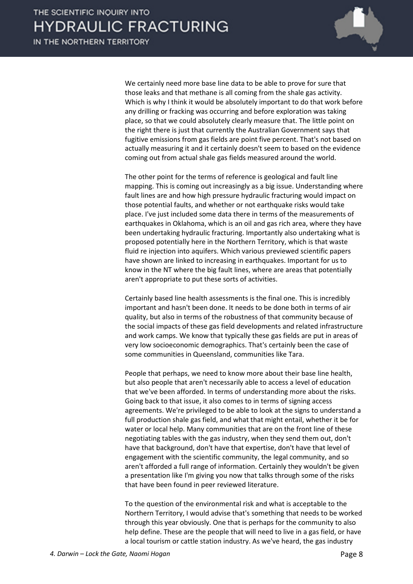

We certainly need more base line data to be able to prove for sure that those leaks and that methane is all coming from the shale gas activity. Which is why I think it would be absolutely important to do that work before any drilling or fracking was occurring and before exploration was taking place, so that we could absolutely clearly measure that. The little point on the right there is just that currently the Australian Government says that fugitive emissions from gas fields are point five percent. That's not based on actually measuring it and it certainly doesn't seem to based on the evidence coming out from actual shale gas fields measured around the world.

The other point for the terms of reference is geological and fault line mapping. This is coming out increasingly as a big issue. Understanding where fault lines are and how high pressure hydraulic fracturing would impact on those potential faults, and whether or not earthquake risks would take place. I've just included some data there in terms of the measurements of earthquakes in Oklahoma, which is an oil and gas rich area, where they have been undertaking hydraulic fracturing. Importantly also undertaking what is proposed potentially here in the Northern Territory, which is that waste fluid re injection into aquifers. Which various previewed scientific papers have shown are linked to increasing in earthquakes. Important for us to know in the NT where the big fault lines, where are areas that potentially aren't appropriate to put these sorts of activities.

Certainly based line health assessments is the final one. This is incredibly important and hasn't been done. It needs to be done both in terms of air quality, but also in terms of the robustness of that community because of the social impacts of these gas field developments and related infrastructure and work camps. We know that typically these gas fields are put in areas of very low socioeconomic demographics. That's certainly been the case of some communities in Queensland, communities like Tara.

People that perhaps, we need to know more about their base line health, but also people that aren't necessarily able to access a level of education that we've been afforded. In terms of understanding more about the risks. Going back to that issue, it also comes to in terms of signing access agreements. We're privileged to be able to look at the signs to understand a full production shale gas field, and what that might entail, whether it be for water or local help. Many communities that are on the front line of these negotiating tables with the gas industry, when they send them out, don't have that background, don't have that expertise, don't have that level of engagement with the scientific community, the legal community, and so aren't afforded a full range of information. Certainly they wouldn't be given a presentation like I'm giving you now that talks through some of the risks that have been found in peer reviewed literature.

To the question of the environmental risk and what is acceptable to the Northern Territory, I would advise that's something that needs to be worked through this year obviously. One that is perhaps for the community to also help define. These are the people that will need to live in a gas field, or have a local tourism or cattle station industry. As we've heard, the gas industry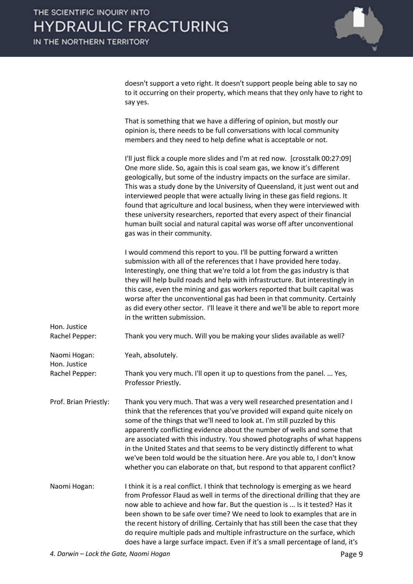

doesn't support a veto right. It doesn't support people being able to say no to it occurring on their property, which means that they only have to right to say yes.

That is something that we have a differing of opinion, but mostly our opinion is, there needs to be full conversations with local community members and they need to help define what is acceptable or not.

I'll just flick a couple more slides and I'm at red now. [crosstalk 00:27:09] One more slide. So, again this is coal seam gas, we know it's different geologically, but some of the industry impacts on the surface are similar. This was a study done by the University of Queensland, it just went out and interviewed people that were actually living in these gas field regions. It found that agriculture and local business, when they were interviewed with these university researchers, reported that every aspect of their financial human built social and natural capital was worse off after unconventional gas was in their community. I would commend this report to you. I'll be putting forward a written

submission with all of the references that I have provided here today. Interestingly, one thing that we're told a lot from the gas industry is that they will help build roads and help with infrastructure. But interestingly in this case, even the mining and gas workers reported that built capital was worse after the unconventional gas had been in that community. Certainly as did every other sector. I'll leave it there and we'll be able to report more in the written submission.

Hon. Justice Rachel Pepper: Thank you very much. Will you be making your slides available as well?

Naomi Hogan: Yeah, absolutely.

Hon. Justice

Rachel Pepper: Thank you very much. I'll open it up to questions from the panel. ... Yes, Professor Priestly.

- Prof. Brian Priestly: Thank you very much. That was a very well researched presentation and I think that the references that you've provided will expand quite nicely on some of the things that we'll need to look at. I'm still puzzled by this apparently conflicting evidence about the number of wells and some that are associated with this industry. You showed photographs of what happens in the United States and that seems to be very distinctly different to what we've been told would be the situation here. Are you able to, I don't know whether you can elaborate on that, but respond to that apparent conflict?
- Naomi Hogan: I think it is a real conflict. I think that technology is emerging as we heard from Professor Flaud as well in terms of the directional drilling that they are now able to achieve and how far. But the question is ... Is it tested? Has it been shown to be safe over time? We need to look to examples that are in the recent history of drilling. Certainly that has still been the case that they do require multiple pads and multiple infrastructure on the surface, which does have a large surface impact. Even if it's a small percentage of land, it's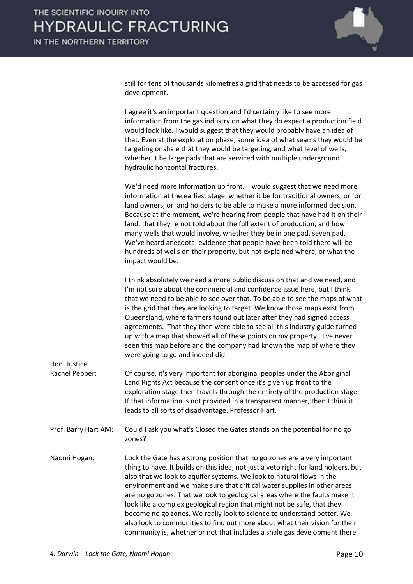

still for tens of thousands kilometres a grid that needs to be accessed for gas development.

I agree it's an important question and I'd certainly like to see more information from the gas industry on what they do expect a production field would look like. I would suggest that they would probably have an idea of that. Even at the exploration phase, some idea of what seams they would be targeting or shale that they would be targeting, and what level of wells, whether it be large pads that are serviced with multiple underground hydraulic horizontal fractures.

We'd need more information up front. I would suggest that we need more information at the earliest stage, whether it be for traditional owners, or for land owners, or land holders to be able to make a more informed decision. Because at the moment, we're hearing from people that have had it on their land, that they're not told about the full extent of production, and how many wells that would involve, whether they be in one pad, seven pad. We've heard anecdotal evidence that people have been told there will be hundreds of wells on their property, but not explained where, or what the impact would be.

I think absolutely we need a more public discuss on that and we need, and I'm not sure about the commercial and confidence issue here, but I think that we need to be able to see over that. To be able to see the maps of what is the grid that they are looking to target. We know those maps exist from Queensland, where farmers found out later after they had signed access agreements. That they then were able to see all this industry guide turned up with a map that showed all of these points on my property. I've never seen this map before and the company had known the map of where they were going to go and indeed did.

- Rachel Pepper: Of course, it's very important for aboriginal peoples under the Aboriginal Land Rights Act because the consent once it's given up front to the exploration stage then travels through the entirety of the production stage. If that information is not provided in a transparent manner, then I think it leads to all sorts of disadvantage. Professor Hart.
- Prof. Barry Hart AM: Could I ask you what's Closed the Gates stands on the potential for no go zones?
- Naomi Hogan: Lock the Gate has a strong position that no go zones are a very important thing to have. It builds on this idea, not just a veto right for land holders, but also that we look to aquifer systems. We look to natural flows in the environment and we make sure that critical water supplies in other areas are no go zones. That we look to geological areas where the faults make it look like a complex geological region that might not be safe, that they become no go zones. We really look to science to understand better. We also look to communities to find out more about what their vision for their community is, whether or not that includes a shale gas development there.

Hon. Justice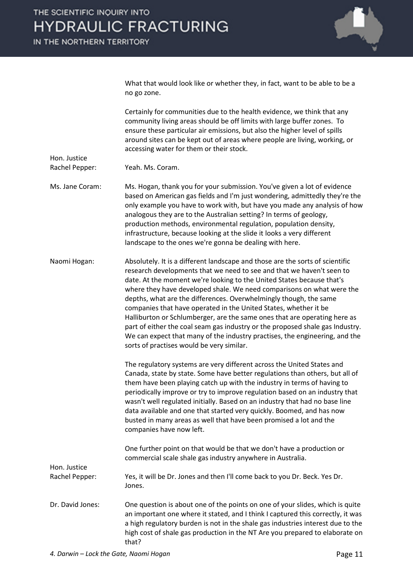

What that would look like or whether they, in fact, want to be able to be a no go zone.

Certainly for communities due to the health evidence, we think that any community living areas should be off limits with large buffer zones. To ensure these particular air emissions, but also the higher level of spills around sites can be kept out of areas where people are living, working, or accessing water for them or their stock.

Hon. Justice Rachel Pepper: Yeah. Ms. Coram.

Ms. Jane Coram: Ms. Hogan, thank you for your submission. You've given a lot of evidence based on American gas fields and I'm just wondering, admittedly they're the only example you have to work with, but have you made any analysis of how analogous they are to the Australian setting? In terms of geology, production methods, environmental regulation, population density, infrastructure, because looking at the slide it looks a very different landscape to the ones we're gonna be dealing with here.

Naomi Hogan: Absolutely. It is a different landscape and those are the sorts of scientific research developments that we need to see and that we haven't seen to date. At the moment we're looking to the United States because that's where they have developed shale. We need comparisons on what were the depths, what are the differences. Overwhelmingly though, the same companies that have operated in the United States, whether it be Halliburton or Schlumberger, are the same ones that are operating here as part of either the coal seam gas industry or the proposed shale gas Industry. We can expect that many of the industry practises, the engineering, and the sorts of practises would be very similar.

> The regulatory systems are very different across the United States and Canada, state by state. Some have better regulations than others, but all of them have been playing catch up with the industry in terms of having to periodically improve or try to improve regulation based on an industry that wasn't well regulated initially. Based on an industry that had no base line data available and one that started very quickly. Boomed, and has now busted in many areas as well that have been promised a lot and the companies have now left.

One further point on that would be that we don't have a production or commercial scale shale gas industry anywhere in Australia.

Hon. Justice Rachel Pepper: Yes, it will be Dr. Jones and then I'll come back to you Dr. Beck. Yes Dr. Jones.

Dr. David Jones: One question is about one of the points on one of your slides, which is quite an important one where it stated, and I think I captured this correctly, it was a high regulatory burden is not in the shale gas industries interest due to the high cost of shale gas production in the NT Are you prepared to elaborate on that?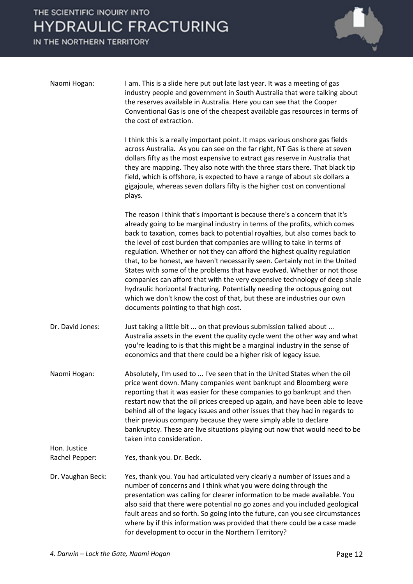# THE SCIENTIFIC INQUIRY INTO **HYDRAULIC FRACTURING**

IN THE NORTHERN TERRITORY



| Naomi Hogan:                   | I am. This is a slide here put out late last year. It was a meeting of gas<br>industry people and government in South Australia that were talking about<br>the reserves available in Australia. Here you can see that the Cooper<br>Conventional Gas is one of the cheapest available gas resources in terms of<br>the cost of extraction.                                                                                                                                                                                                                                                                                                                                                                                                                                                                                                 |
|--------------------------------|--------------------------------------------------------------------------------------------------------------------------------------------------------------------------------------------------------------------------------------------------------------------------------------------------------------------------------------------------------------------------------------------------------------------------------------------------------------------------------------------------------------------------------------------------------------------------------------------------------------------------------------------------------------------------------------------------------------------------------------------------------------------------------------------------------------------------------------------|
|                                | I think this is a really important point. It maps various onshore gas fields<br>across Australia. As you can see on the far right, NT Gas is there at seven<br>dollars fifty as the most expensive to extract gas reserve in Australia that<br>they are mapping. They also note with the three stars there. That black tip<br>field, which is offshore, is expected to have a range of about six dollars a<br>gigajoule, whereas seven dollars fifty is the higher cost on conventional<br>plays.                                                                                                                                                                                                                                                                                                                                          |
|                                | The reason I think that's important is because there's a concern that it's<br>already going to be marginal industry in terms of the profits, which comes<br>back to taxation, comes back to potential royalties, but also comes back to<br>the level of cost burden that companies are willing to take in terms of<br>regulation. Whether or not they can afford the highest quality regulation<br>that, to be honest, we haven't necessarily seen. Certainly not in the United<br>States with some of the problems that have evolved. Whether or not those<br>companies can afford that with the very expensive technology of deep shale<br>hydraulic horizontal fracturing. Potentially needing the octopus going out<br>which we don't know the cost of that, but these are industries our own<br>documents pointing to that high cost. |
| Dr. David Jones:               | Just taking a little bit  on that previous submission talked about<br>Australia assets in the event the quality cycle went the other way and what<br>you're leading to is that this might be a marginal industry in the sense of<br>economics and that there could be a higher risk of legacy issue.                                                                                                                                                                                                                                                                                                                                                                                                                                                                                                                                       |
| Naomi Hogan:                   | Absolutely, I'm used to  I've seen that in the United States when the oil<br>price went down. Many companies went bankrupt and Bloomberg were<br>reporting that it was easier for these companies to go bankrupt and then<br>restart now that the oil prices creeped up again, and have been able to leave<br>behind all of the legacy issues and other issues that they had in regards to<br>their previous company because they were simply able to declare<br>bankruptcy. These are live situations playing out now that would need to be<br>taken into consideration.                                                                                                                                                                                                                                                                  |
| Hon. Justice<br>Rachel Pepper: | Yes, thank you. Dr. Beck.                                                                                                                                                                                                                                                                                                                                                                                                                                                                                                                                                                                                                                                                                                                                                                                                                  |
| Dr. Vaughan Beck:              | Yes, thank you. You had articulated very clearly a number of issues and a<br>number of concerns and I think what you were doing through the<br>presentation was calling for clearer information to be made available. You<br>also said that there were potential no go zones and you included geological<br>fault areas and so forth. So going into the future, can you see circumstances<br>where by if this information was provided that there could be a case made<br>for development to occur in the Northern Territory?                                                                                                                                                                                                                                                                                                              |